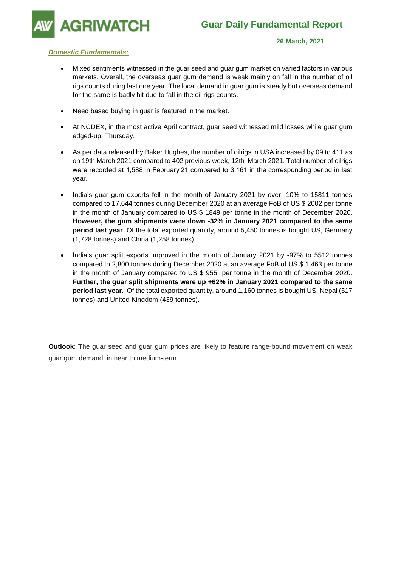**GRIWATCH** 

### *Domestic Fundamentals:*

- Mixed sentiments witnessed in the guar seed and guar gum market on varied factors in various markets. Overall, the overseas guar gum demand is weak mainly on fall in the number of oil rigs counts during last one year. The local demand in guar gum is steady but overseas demand for the same is badly hit due to fall in the oil rigs counts.
- Need based buying in guar is featured in the market.
- At NCDEX, in the most active April contract, guar seed witnessed mild losses while guar gum edged-up, Thursday.
- As per data released by Baker Hughes, the number of oilrigs in USA increased by 09 to 411 as on 19th March 2021 compared to 402 previous week, 12th March 2021. Total number of oilrigs were recorded at 1,588 in February'21 compared to 3,161 in the corresponding period in last year.
- India's guar gum exports fell in the month of January 2021 by over -10% to 15811 tonnes compared to 17,644 tonnes during December 2020 at an average FoB of US \$ 2002 per tonne in the month of January compared to US \$ 1849 per tonne in the month of December 2020. **However, the gum shipments were down -32% in January 2021 compared to the same period last year**. Of the total exported quantity, around 5,450 tonnes is bought US, Germany (1,728 tonnes) and China (1,258 tonnes).
- India's guar split exports improved in the month of January 2021 by -97% to 5512 tonnes compared to 2,800 tonnes during December 2020 at an average FoB of US \$ 1,463 per tonne in the month of January compared to US \$ 955 per tonne in the month of December 2020. **Further, the guar split shipments were up +62% in January 2021 compared to the same period last year**. Of the total exported quantity, around 1,160 tonnes is bought US, Nepal (517 tonnes) and United Kingdom (439 tonnes).

**Outlook**: The guar seed and guar gum prices are likely to feature range-bound movement on weak guar gum demand, in near to medium-term.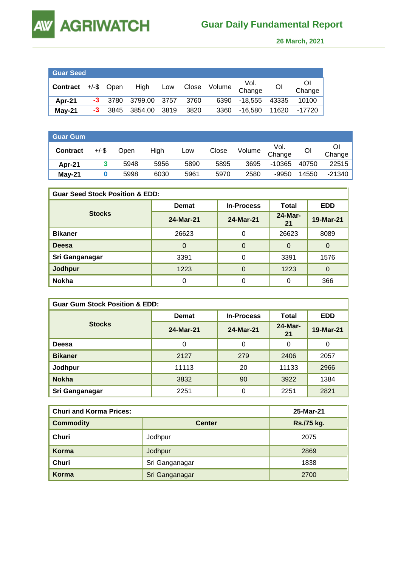**AW** 

 **26 March, 2021** 

| <b>Guar Seed</b>              |      |           |              |        |       |                       |                |       |                        |
|-------------------------------|------|-----------|--------------|--------|-------|-----------------------|----------------|-------|------------------------|
| <b>Contract</b> $+/-$ \$ Open |      |           |              |        |       | High Low Close Volume | Vol.<br>Change | OI    | <sup>O</sup><br>Change |
| Apr-21                        |      | $-3$ 3780 | 3799.00 3757 |        | 3760  | 6390                  | -18.555 43335  |       | 10100                  |
| $May-21$                      | $-3$ | 3845      | 3854.00      | - 3819 | -3820 | 3360                  | -16.580        | 11620 | -17720                 |

| <b>Guar Gum</b> |          |      |      |      |       |        |                |       |        |
|-----------------|----------|------|------|------|-------|--------|----------------|-------|--------|
| <b>Contract</b> | $+/-$ \$ | Open | High | Low  | Close | Volume | Vol.<br>Change | Οl    | Change |
| Apr-21          |          | 5948 | 5956 | 5890 | 5895  | 3695   | $-10365$       | 40750 | 22515  |
| $May-21$        |          | 5998 | 6030 | 5961 | 5970  | 2580   | $-9950$        | 14550 | -21340 |

| <b>Guar Seed Stock Position &amp; EDD:</b> |              |                   |               |            |  |  |  |
|--------------------------------------------|--------------|-------------------|---------------|------------|--|--|--|
|                                            | <b>Demat</b> | <b>In-Process</b> | Total         | <b>EDD</b> |  |  |  |
| <b>Stocks</b>                              | 24-Mar-21    | 24-Mar-21         | 24-Mar-<br>21 | 19-Mar-21  |  |  |  |
| <b>Bikaner</b>                             | 26623        | 0                 | 26623         | 8089       |  |  |  |
| Deesa                                      | 0            | $\Omega$          | O             | 0          |  |  |  |
| Sri Ganganagar                             | 3391         | 0                 | 3391          | 1576       |  |  |  |
| <b>Jodhpur</b>                             | 1223         | $\Omega$          | 1223          | 0          |  |  |  |
| <b>Nokha</b>                               |              | 0                 | 0             | 366        |  |  |  |

| <b>Guar Gum Stock Position &amp; EDD:</b> |              |                   |               |            |  |  |  |
|-------------------------------------------|--------------|-------------------|---------------|------------|--|--|--|
|                                           | <b>Demat</b> | <b>In-Process</b> | Total         | <b>EDD</b> |  |  |  |
| <b>Stocks</b>                             | 24-Mar-21    | 24-Mar-21         | 24-Mar-<br>21 | 19-Mar-21  |  |  |  |
| Deesa                                     | 0            | 0                 | 0             | 0          |  |  |  |
| <b>Bikaner</b>                            | 2127         | 279               | 2406          | 2057       |  |  |  |
| Jodhpur                                   | 11113        | 20                | 11133         | 2966       |  |  |  |
| <b>Nokha</b>                              | 3832         | 90                | 3922          | 1384       |  |  |  |
| Sri Ganganagar                            | 2251         | 0                 | 2251          | 2821       |  |  |  |

| <b>Churi and Korma Prices:</b> | 25-Mar-21      |            |
|--------------------------------|----------------|------------|
| <b>Commodity</b>               | <b>Center</b>  | Rs./75 kg. |
| Churi                          | Jodhpur        | 2075       |
| Korma                          | Jodhpur        | 2869       |
| Churi                          | Sri Ganganagar | 1838       |
| Korma                          | Sri Ganganagar | 2700       |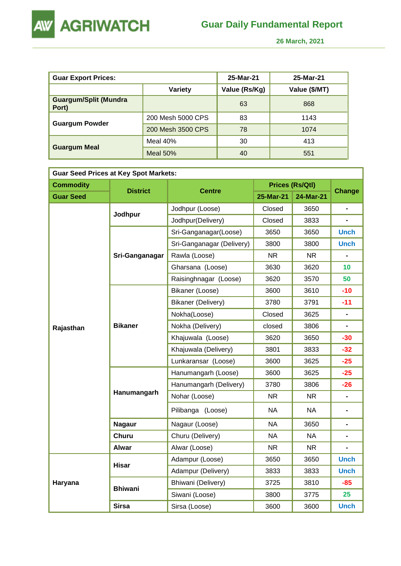

 **26 March, 2021** 

| <b>Guar Export Prices:</b>            |                   | 25-Mar-21     | 25-Mar-21     |
|---------------------------------------|-------------------|---------------|---------------|
|                                       | Variety           | Value (Rs/Kg) | Value (\$/MT) |
| <b>Guargum/Split (Mundra</b><br>Port) |                   | 63            | 868           |
|                                       | 200 Mesh 5000 CPS | 83            | 1143          |
| <b>Guargum Powder</b>                 | 200 Mesh 3500 CPS | 78            | 1074          |
|                                       | Meal $40%$        | 30            | 413           |
| <b>Guargum Meal</b>                   | Meal $50%$        | 40            | 551           |

| <b>Guar Seed Prices at Key Spot Markets:</b> |                 |                           |           |                        |                              |  |  |  |
|----------------------------------------------|-----------------|---------------------------|-----------|------------------------|------------------------------|--|--|--|
| <b>Commodity</b>                             | <b>District</b> | <b>Centre</b>             |           | <b>Prices (Rs/Qtl)</b> | <b>Change</b>                |  |  |  |
| <b>Guar Seed</b>                             |                 |                           | 25-Mar-21 | 24-Mar-21              |                              |  |  |  |
|                                              | Jodhpur         | Jodhpur (Loose)           | Closed    | 3650                   |                              |  |  |  |
|                                              |                 | Jodhpur(Delivery)         | Closed    | 3833                   |                              |  |  |  |
|                                              |                 | Sri-Ganganagar(Loose)     | 3650      | 3650                   | <b>Unch</b>                  |  |  |  |
|                                              |                 | Sri-Ganganagar (Delivery) | 3800      | 3800                   | <b>Unch</b>                  |  |  |  |
|                                              | Sri-Ganganagar  | Rawla (Loose)             | <b>NR</b> | <b>NR</b>              |                              |  |  |  |
|                                              |                 | Gharsana (Loose)          | 3630      | 3620                   | 10                           |  |  |  |
|                                              |                 | Raisinghnagar (Loose)     | 3620      | 3570                   | 50                           |  |  |  |
|                                              |                 | Bikaner (Loose)           | 3600      | 3610                   | $-10$                        |  |  |  |
|                                              |                 | Bikaner (Delivery)        | 3780      | 3791                   | $-11$                        |  |  |  |
|                                              | <b>Bikaner</b>  | Nokha(Loose)              | Closed    | 3625                   |                              |  |  |  |
| Rajasthan                                    |                 | Nokha (Delivery)          | closed    | 3806                   | $\blacksquare$               |  |  |  |
|                                              |                 | Khajuwala (Loose)         | 3620      | 3650                   | $-30$                        |  |  |  |
|                                              |                 | Khajuwala (Delivery)      | 3801      | 3833                   | $-32$                        |  |  |  |
|                                              |                 | Lunkaransar (Loose)       | 3600      | 3625                   | $-25$                        |  |  |  |
|                                              |                 | Hanumangarh (Loose)       | 3600      | 3625                   | $-25$                        |  |  |  |
|                                              |                 | Hanumangarh (Delivery)    | 3780      | 3806                   | $-26$                        |  |  |  |
|                                              | Hanumangarh     | Nohar (Loose)             | <b>NR</b> | <b>NR</b>              |                              |  |  |  |
|                                              |                 | Pilibanga (Loose)         | <b>NA</b> | NA.                    |                              |  |  |  |
|                                              | <b>Nagaur</b>   | Nagaur (Loose)            | <b>NA</b> | 3650                   |                              |  |  |  |
|                                              | Churu           | Churu (Delivery)          | <b>NA</b> | <b>NA</b>              | $\qquad \qquad \blacksquare$ |  |  |  |
|                                              | <b>Alwar</b>    | Alwar (Loose)             | <b>NR</b> | NR.                    |                              |  |  |  |
|                                              | <b>Hisar</b>    | Adampur (Loose)           | 3650      | 3650                   | <b>Unch</b>                  |  |  |  |
|                                              |                 | Adampur (Delivery)        | 3833      | 3833                   | <b>Unch</b>                  |  |  |  |
| Haryana                                      | <b>Bhiwani</b>  | Bhiwani (Delivery)        | 3725      | 3810                   | $-85$                        |  |  |  |
|                                              |                 | Siwani (Loose)            | 3800      | 3775                   | 25                           |  |  |  |
|                                              | <b>Sirsa</b>    | Sirsa (Loose)             | 3600      | 3600                   | <b>Unch</b>                  |  |  |  |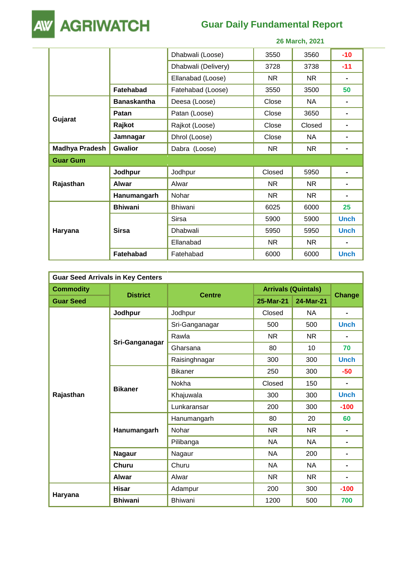

# **Guar Daily Fundamental Report**

|                       |                    |                     |           | ZV MAI VII, ZVZ I |                |
|-----------------------|--------------------|---------------------|-----------|-------------------|----------------|
|                       |                    | Dhabwali (Loose)    | 3550      | 3560              | $-10$          |
|                       |                    | Dhabwali (Delivery) | 3728      | 3738              | $-11$          |
|                       |                    | Ellanabad (Loose)   | <b>NR</b> | <b>NR</b>         | $\blacksquare$ |
|                       | Fatehabad          | Fatehabad (Loose)   | 3550      | 3500              | 50             |
|                       | <b>Banaskantha</b> | Deesa (Loose)       | Close     | <b>NA</b>         |                |
|                       | Patan              | Patan (Loose)       | Close     | 3650              | ۰              |
| Gujarat               | Rajkot             | Rajkot (Loose)      | Close     | Closed            | ۰              |
|                       | Jamnagar           | Dhrol (Loose)       | Close     | NA                | ۰              |
| <b>Madhya Pradesh</b> | <b>Gwalior</b>     | Dabra (Loose)       | <b>NR</b> | NR.               | $\blacksquare$ |
| <b>Guar Gum</b>       |                    |                     |           |                   |                |
|                       | Jodhpur            | Jodhpur             | Closed    | 5950              |                |
| Rajasthan             | <b>Alwar</b>       | Alwar               | NR.       | NR.               |                |
|                       | Hanumangarh        | Nohar               | NR.       | NR.               |                |
|                       | <b>Bhiwani</b>     | <b>Bhiwani</b>      | 6025      | 6000              | 25             |
| Haryana               |                    | <b>Sirsa</b>        | 5900      | 5900              | <b>Unch</b>    |
|                       | <b>Sirsa</b>       | Dhabwali            | 5950      | 5950              | <b>Unch</b>    |
|                       |                    | Ellanabad           | <b>NR</b> | NR                |                |
|                       | <b>Fatehabad</b>   | Fatehabad           | 6000      | 6000              | <b>Unch</b>    |

| <b>Guar Seed Arrivals in Key Centers</b> |                 |                |                            |           |                |  |  |
|------------------------------------------|-----------------|----------------|----------------------------|-----------|----------------|--|--|
| <b>Commodity</b>                         |                 |                | <b>Arrivals (Quintals)</b> |           |                |  |  |
| <b>Guar Seed</b>                         | <b>District</b> | <b>Centre</b>  | 25-Mar-21                  | 24-Mar-21 | <b>Change</b>  |  |  |
|                                          | Jodhpur         | Jodhpur        | Closed                     | <b>NA</b> |                |  |  |
|                                          |                 | Sri-Ganganagar | 500                        | 500       | <b>Unch</b>    |  |  |
|                                          |                 | Rawla          | <b>NR</b>                  | <b>NR</b> | $\blacksquare$ |  |  |
|                                          | Sri-Ganganagar  | Gharsana       | 80                         | 10        | 70             |  |  |
|                                          |                 | Raisinghnagar  | 300                        | 300       | <b>Unch</b>    |  |  |
|                                          | <b>Bikaner</b>  | <b>Bikaner</b> | 250                        | 300       | $-50$          |  |  |
|                                          |                 | Nokha          | Closed                     | 150       | $\blacksquare$ |  |  |
| Rajasthan                                |                 | Khajuwala      | 300                        | 300       | <b>Unch</b>    |  |  |
|                                          |                 | Lunkaransar    | 200                        | 300       | $-100$         |  |  |
|                                          |                 | Hanumangarh    | 80                         | 20        | 60             |  |  |
|                                          | Hanumangarh     | Nohar          | <b>NR</b>                  | <b>NR</b> | $\blacksquare$ |  |  |
|                                          |                 | Pilibanga      | NA                         | NA.       | $\blacksquare$ |  |  |
|                                          | <b>Nagaur</b>   | Nagaur         | <b>NA</b>                  | 200       | $\blacksquare$ |  |  |
|                                          | <b>Churu</b>    | Churu          | NA.                        | NA        | $\blacksquare$ |  |  |
|                                          | <b>Alwar</b>    | Alwar          | <b>NR</b>                  | <b>NR</b> | $\blacksquare$ |  |  |
|                                          | <b>Hisar</b>    | Adampur        | 200                        | 300       | $-100$         |  |  |
| Haryana                                  | <b>Bhiwani</b>  | Bhiwani        | 1200                       | 500       | 700            |  |  |

 **26 March, 2021**